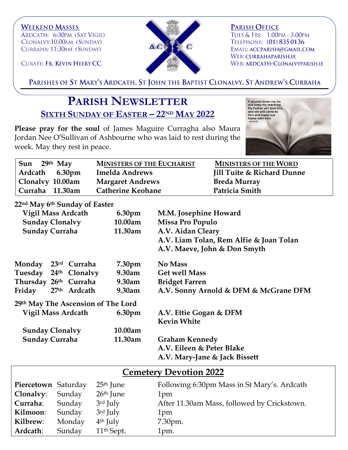**WEEKEND MASSES** ARDCATH: 6:30PM (SAT VIGIL) CLONALVY:10.00AM (SUNDAY) CURRAHA: 11:30AM (SUNDAY)



**PARISH OFFICE** TUES & FRI: 1.00PM - 3.00PM TELEPHONE: (01) 835 0136 EMAIL: ACCPARISH@GMAIL.COM WEB: CURRAHAPARISH.IE WEB: ARDCATH-CLONALVYPARISH.IE

CURATE: FR. KEVIN HEERY CC

PARISHES OF ST MARY'S ARDCATH, ST JOHN THE BAPTIST CLONALVY, ST ANDREW'S CURRAHA

## **PARISH NEWSLETTER SIXTH SUNDAY OF EASTER – 22ND MAY 2022**

**Please pray for the soul** of James Maguire Curragha also Maura Jordan Nee O'Sullivan of Ashbourne who was laid to rest during the week. May they rest in peace.



| Sun 29th May     | <b>MINISTERS OF THE EUCHARIST</b> | <b>MINISTERS OF THE WORD</b>          |
|------------------|-----------------------------------|---------------------------------------|
| Ardcath 6.30pm   | <b>Imelda Andrews</b>             | <b>Jill Tuite &amp; Richard Dunne</b> |
| Clonalvy 10.00am | <b>Margaret Andrews</b>           | <b>Breda Murray</b>                   |
| Curraha 11.30am  | <b>Catherine Keohane</b>          | Patricia Smith                        |
|                  |                                   |                                       |

## **22nd May 6th Sunday of Easter**

| <b>Vigil Mass Ardcath</b> |  | 6.30pm                             | M.M. Josephine Howard                        |                                         |
|---------------------------|--|------------------------------------|----------------------------------------------|-----------------------------------------|
| <b>Sunday Clonalvy</b>    |  | 10.00am                            | Missa Pro Populo                             |                                         |
| <b>Sunday Curraha</b>     |  | 11.30am                            | A.V. Aidan Cleary                            |                                         |
|                           |  |                                    |                                              | A.V. Liam Tolan, Rem Alfie & Joan Tolan |
|                           |  |                                    |                                              | A.V. Maeve, John & Don Smyth            |
| Monday 23rd Curraha       |  |                                    | 7.30pm                                       | <b>No Mass</b>                          |
| Tuesday 24th Clonalvy     |  |                                    | 9.30am                                       | <b>Get well Mass</b>                    |
| Thursday 26th Curraha     |  |                                    | $9.30$ am                                    | <b>Bridget Farren</b>                   |
| Friday                    |  | 27th Ardcath                       | 9.30am                                       | A.V. Sonny Arnold & DFM & McGrane DFM   |
|                           |  | 29th May The Ascension of The Lord |                                              |                                         |
| Vigil Mass Ardcath        |  | 6.30pm                             | A.V. Ettie Gogan & DFM<br><b>Kevin White</b> |                                         |
| <b>Sunday Clonalvy</b>    |  | 10.00am                            |                                              |                                         |
| <b>Sunday Curraha</b>     |  | 11.30am                            | <b>Graham Kennedy</b>                        |                                         |
|                           |  |                                    |                                              | A.V. Eileen & Peter Blake               |
|                           |  |                                    |                                              | A.V. Mary-Jane & Jack Bissett           |

| <b>Cemetery Devotion 2022</b> |        |                        |                                             |  |  |  |
|-------------------------------|--------|------------------------|---------------------------------------------|--|--|--|
| Piercetown Saturday           |        | $25th$ June            | Following 6:30pm Mass in St Mary's. Ardcath |  |  |  |
| Clonalvy:                     | Sunday | $26th$ June            | 1pm                                         |  |  |  |
| Curraha:                      | Sunday | $3rd$ July             | After 11.30am Mass, followed by Crickstown. |  |  |  |
| Kilmoon:                      | Sunday | 3rd July               | 1pm                                         |  |  |  |
| Kilbrew:                      | Monday | $4th$ July             | 7.30pm.                                     |  |  |  |
| Ardcath:                      | Sunday | 11 <sup>th</sup> Sept. | 1pm.                                        |  |  |  |